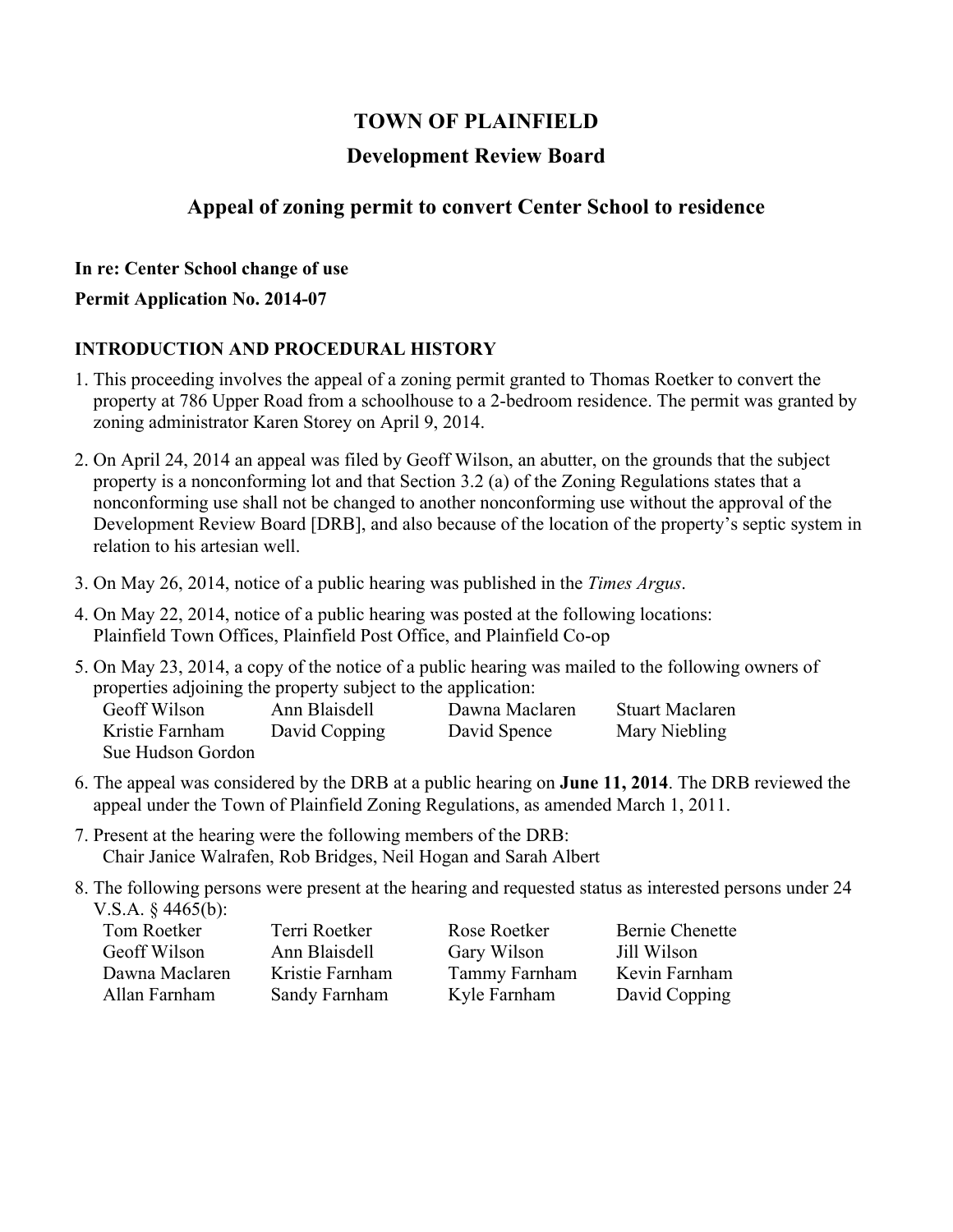# **TOWN OF PLAINFIELD**

### **Development Review Board**

### **Appeal of zoning permit to convert Center School to residence**

#### **In re: Center School change of use**

#### **Permit Application No. 2014-07**

### **INTRODUCTION AND PROCEDURAL HISTORY**

- 1. This proceeding involves the appeal of a zoning permit granted to Thomas Roetker to convert the property at 786 Upper Road from a schoolhouse to a 2-bedroom residence. The permit was granted by zoning administrator Karen Storey on April 9, 2014.
- 2. On April 24, 2014 an appeal was filed by Geoff Wilson, an abutter, on the grounds that the subject property is a nonconforming lot and that Section 3.2 (a) of the Zoning Regulations states that a nonconforming use shall not be changed to another nonconforming use without the approval of the Development Review Board [DRB], and also because of the location of the property's septic system in relation to his artesian well.
- 3. On May 26, 2014, notice of a public hearing was published in the *Times Argus*.
- 4. On May 22, 2014, notice of a public hearing was posted at the following locations: Plainfield Town Offices, Plainfield Post Office, and Plainfield Co-op

|                                                               |               |                | 5. On May 23, 2014, a copy of the notice of a public hearing was mailed to the following owners of |  |  |
|---------------------------------------------------------------|---------------|----------------|----------------------------------------------------------------------------------------------------|--|--|
| properties adjoining the property subject to the application: |               |                |                                                                                                    |  |  |
| Geoff Wilson                                                  | Ann Blaisdell | Dawna Maclaren | <b>Stuart Maclaren</b>                                                                             |  |  |
| Kristie Farnham                                               | David Copping | David Spence   | Mary Niebling                                                                                      |  |  |
| Sue Hudson Gordon                                             |               |                |                                                                                                    |  |  |

- 6. The appeal was considered by the DRB at a public hearing on **June 11, 2014**. The DRB reviewed the appeal under the Town of Plainfield Zoning Regulations, as amended March 1, 2011.
- 7. Present at the hearing were the following members of the DRB: Chair Janice Walrafen, Rob Bridges, Neil Hogan and Sarah Albert
- 8. The following persons were present at the hearing and requested status as interested persons under 24 V.S.A. § 4465(b):

| Tom Roetker    | Terri Roetker   | Rose Roetker  | Bernie Chenette |
|----------------|-----------------|---------------|-----------------|
| Geoff Wilson   | Ann Blaisdell   | Gary Wilson   | Jill Wilson     |
| Dawna Maclaren | Kristie Farnham | Tammy Farnham | Kevin Farnham   |
| Allan Farnham  | Sandy Farnham   | Kyle Farnham  | David Copping   |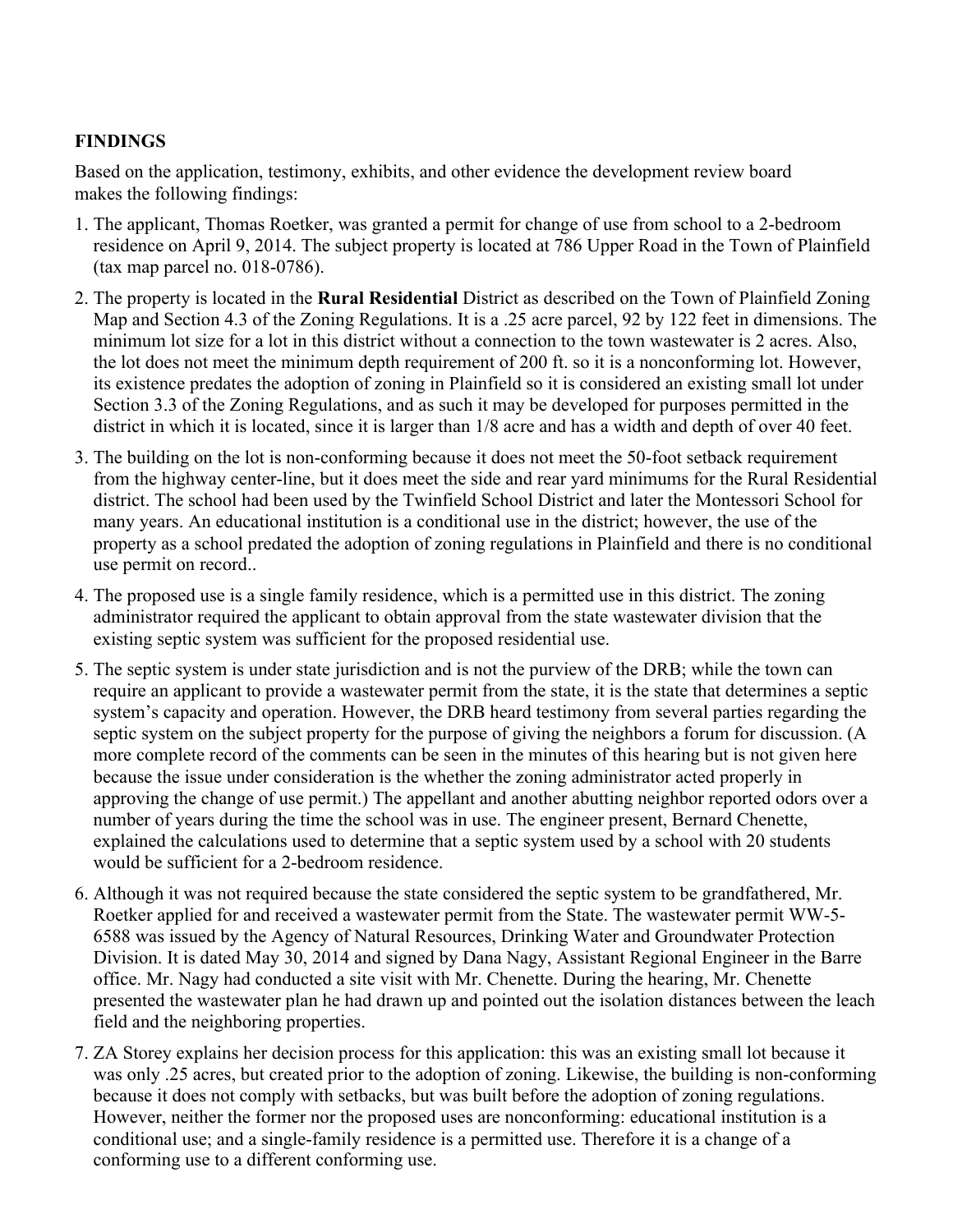### **FINDINGS**

Based on the application, testimony, exhibits, and other evidence the development review board makes the following findings:

- 1. The applicant, Thomas Roetker, was granted a permit for change of use from school to a 2-bedroom residence on April 9, 2014. The subject property is located at 786 Upper Road in the Town of Plainfield (tax map parcel no. 018-0786).
- 2. The property is located in the **Rural Residential** District as described on the Town of Plainfield Zoning Map and Section 4.3 of the Zoning Regulations. It is a .25 acre parcel, 92 by 122 feet in dimensions. The minimum lot size for a lot in this district without a connection to the town wastewater is 2 acres. Also, the lot does not meet the minimum depth requirement of 200 ft. so it is a nonconforming lot. However, its existence predates the adoption of zoning in Plainfield so it is considered an existing small lot under Section 3.3 of the Zoning Regulations, and as such it may be developed for purposes permitted in the district in which it is located, since it is larger than 1/8 acre and has a width and depth of over 40 feet.
- 3. The building on the lot is non-conforming because it does not meet the 50-foot setback requirement from the highway center-line, but it does meet the side and rear yard minimums for the Rural Residential district. The school had been used by the Twinfield School District and later the Montessori School for many years. An educational institution is a conditional use in the district; however, the use of the property as a school predated the adoption of zoning regulations in Plainfield and there is no conditional use permit on record..
- 4. The proposed use is a single family residence, which is a permitted use in this district. The zoning administrator required the applicant to obtain approval from the state wastewater division that the existing septic system was sufficient for the proposed residential use.
- 5. The septic system is under state jurisdiction and is not the purview of the DRB; while the town can require an applicant to provide a wastewater permit from the state, it is the state that determines a septic system's capacity and operation. However, the DRB heard testimony from several parties regarding the septic system on the subject property for the purpose of giving the neighbors a forum for discussion. (A more complete record of the comments can be seen in the minutes of this hearing but is not given here because the issue under consideration is the whether the zoning administrator acted properly in approving the change of use permit.) The appellant and another abutting neighbor reported odors over a number of years during the time the school was in use. The engineer present, Bernard Chenette, explained the calculations used to determine that a septic system used by a school with 20 students would be sufficient for a 2-bedroom residence.
- 6. Although it was not required because the state considered the septic system to be grandfathered, Mr. Roetker applied for and received a wastewater permit from the State. The wastewater permit WW-5- 6588 was issued by the Agency of Natural Resources, Drinking Water and Groundwater Protection Division. It is dated May 30, 2014 and signed by Dana Nagy, Assistant Regional Engineer in the Barre office. Mr. Nagy had conducted a site visit with Mr. Chenette. During the hearing, Mr. Chenette presented the wastewater plan he had drawn up and pointed out the isolation distances between the leach field and the neighboring properties.
- 7. ZA Storey explains her decision process for this application: this was an existing small lot because it was only .25 acres, but created prior to the adoption of zoning. Likewise, the building is non-conforming because it does not comply with setbacks, but was built before the adoption of zoning regulations. However, neither the former nor the proposed uses are nonconforming: educational institution is a conditional use; and a single-family residence is a permitted use. Therefore it is a change of a conforming use to a different conforming use.